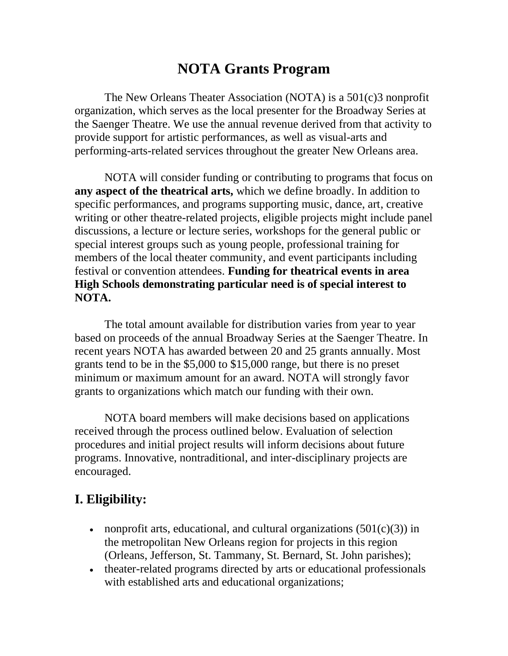# **NOTA Grants Program**

The New Orleans Theater Association (NOTA) is a 501(c)3 nonprofit organization, which serves as the local presenter for the Broadway Series at the Saenger Theatre. We use the annual revenue derived from that activity to provide support for artistic performances, as well as visual-arts and performing-arts-related services throughout the greater New Orleans area.

NOTA will consider funding or contributing to programs that focus on **any aspect of the theatrical arts,** which we define broadly. In addition to specific performances, and programs supporting music, dance, art, creative writing or other theatre-related projects, eligible projects might include panel discussions, a lecture or lecture series, workshops for the general public or special interest groups such as young people, professional training for members of the local theater community, and event participants including festival or convention attendees. **Funding for theatrical events in area High Schools demonstrating particular need is of special interest to NOTA.** 

The total amount available for distribution varies from year to year based on proceeds of the annual Broadway Series at the Saenger Theatre. In recent years NOTA has awarded between 20 and 25 grants annually. Most grants tend to be in the \$5,000 to \$15,000 range, but there is no preset minimum or maximum amount for an award. NOTA will strongly favor grants to organizations which match our funding with their own.

NOTA board members will make decisions based on applications received through the process outlined below. Evaluation of selection procedures and initial project results will inform decisions about future programs. Innovative, nontraditional, and inter-disciplinary projects are encouraged.

# **I. Eligibility:**

- nonprofit arts, educational, and cultural organizations  $(501(c)(3))$  in the metropolitan New Orleans region for projects in this region (Orleans, Jefferson, St. Tammany, St. Bernard, St. John parishes);
- theater-related programs directed by arts or educational professionals with established arts and educational organizations;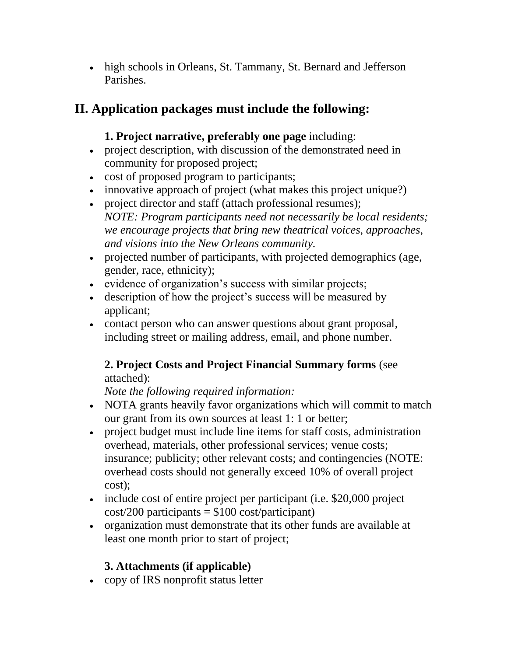• high schools in Orleans, St. Tammany, St. Bernard and Jefferson Parishes.

# **II. Application packages must include the following:**

#### **1. Project narrative, preferably one page** including:

- project description, with discussion of the demonstrated need in community for proposed project;
- cost of proposed program to participants;
- innovative approach of project (what makes this project unique?)
- project director and staff (attach professional resumes); *NOTE: Program participants need not necessarily be local residents; we encourage projects that bring new theatrical voices, approaches, and visions into the New Orleans community.*
- projected number of participants, with projected demographics (age, gender, race, ethnicity);
- evidence of organization's success with similar projects;
- description of how the project's success will be measured by applicant;
- contact person who can answer questions about grant proposal, including street or mailing address, email, and phone number.

### **2. Project Costs and Project Financial Summary forms** (see attached):

*Note the following required information:* 

- NOTA grants heavily favor organizations which will commit to match our grant from its own sources at least 1: 1 or better;
- project budget must include line items for staff costs, administration overhead, materials, other professional services; venue costs; insurance; publicity; other relevant costs; and contingencies (NOTE: overhead costs should not generally exceed 10% of overall project cost);
- include cost of entire project per participant (i.e. \$20,000 project  $cost/200$  participants = \$100 cost/participant)
- organization must demonstrate that its other funds are available at least one month prior to start of project;

### **3. Attachments (if applicable)**

• copy of IRS nonprofit status letter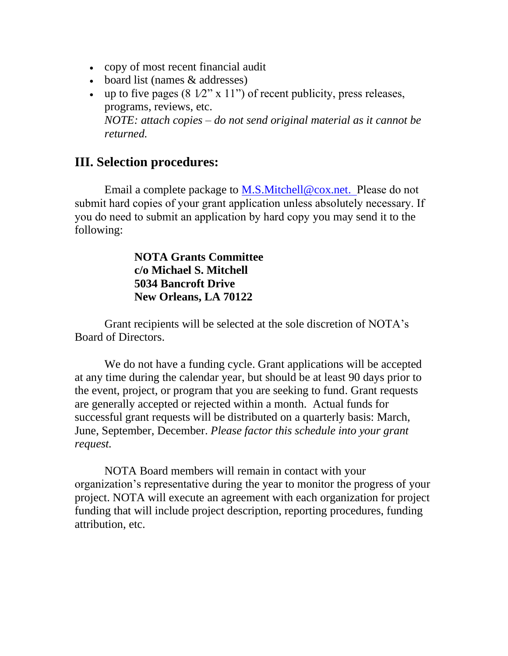- copy of most recent financial audit
- board list (names & addresses)
- up to five pages  $(8\ 1/2" \times 11")$  of recent publicity, press releases, programs, reviews, etc. *NOTE: attach copies – do not send original material as it cannot be returned.*

### **III. Selection procedures:**

Email a complete package to [M.S.Mitchell@cox.net.](mailto:M.S.Mitchell@cox.net) Please do not submit hard copies of your grant application unless absolutely necessary. If you do need to submit an application by hard copy you may send it to the following:

#### **NOTA Grants Committee c/o Michael S. Mitchell 5034 Bancroft Drive New Orleans, LA 70122**

Grant recipients will be selected at the sole discretion of NOTA's Board of Directors.

We do not have a funding cycle. Grant applications will be accepted at any time during the calendar year, but should be at least 90 days prior to the event, project, or program that you are seeking to fund. Grant requests are generally accepted or rejected within a month. Actual funds for successful grant requests will be distributed on a quarterly basis: March, June, September, December. *Please factor this schedule into your grant request.* 

NOTA Board members will remain in contact with your organization's representative during the year to monitor the progress of your project. NOTA will execute an agreement with each organization for project funding that will include project description, reporting procedures, funding attribution, etc.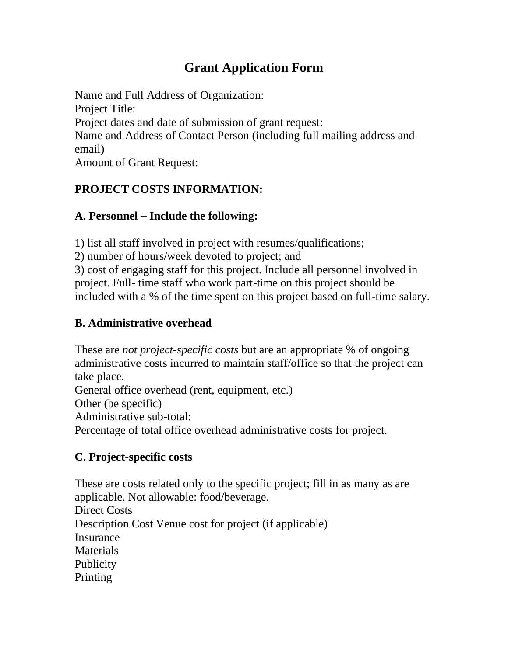# **Grant Application Form**

Name and Full Address of Organization: Project Title: Project dates and date of submission of grant request: Name and Address of Contact Person (including full mailing address and email) Amount of Grant Request:

## **PROJECT COSTS INFORMATION:**

### **A. Personnel – Include the following:**

1) list all staff involved in project with resumes/qualifications;

2) number of hours/week devoted to project; and

3) cost of engaging staff for this project. Include all personnel involved in project. Full- time staff who work part-time on this project should be included with a % of the time spent on this project based on full-time salary.

## **B. Administrative overhead**

These are *not project-specific costs* but are an appropriate % of ongoing administrative costs incurred to maintain staff/office so that the project can take place. General office overhead (rent, equipment, etc.) Other (be specific) Administrative sub-total:

Percentage of total office overhead administrative costs for project.

## **C. Project-specific costs**

These are costs related only to the specific project; fill in as many as are applicable. Not allowable: food/beverage. Direct Costs Description Cost Venue cost for project (if applicable) Insurance **Materials Publicity Printing**